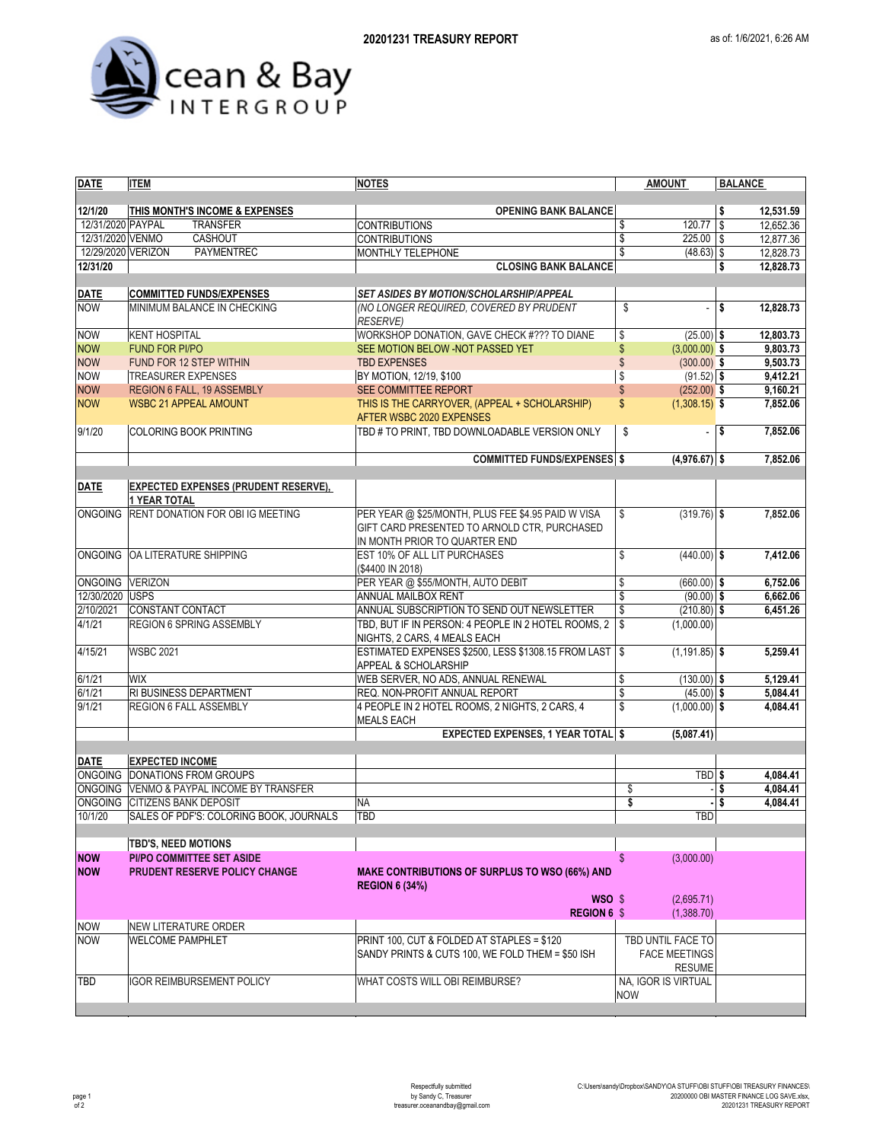



| <b>DATE</b>               | <b>ITEM</b>                                             | <b>NOTES</b>                                                                | <b>AMOUNT</b>                       | <b>BALANCE</b>             |  |  |
|---------------------------|---------------------------------------------------------|-----------------------------------------------------------------------------|-------------------------------------|----------------------------|--|--|
|                           |                                                         |                                                                             |                                     |                            |  |  |
| 12/1/20                   | THIS MONTH'S INCOME & EXPENSES                          | <b>OPENING BANK BALANCE</b>                                                 |                                     | \$<br>12,531.59            |  |  |
| 12/31/2020 PAYPAL         | <b>TRANSFER</b>                                         | <b>CONTRIBUTIONS</b>                                                        | $120.77$ \$<br>\$                   | 12,652.36                  |  |  |
| 12/31/2020 VENMO          | CASHOUT                                                 | <b>CONTRIBUTIONS</b>                                                        | \$<br>$225.00$ \ \$                 | 12,877.36                  |  |  |
| 12/29/2020 VERIZON        | PAYMENTREC                                              | MONTHLY TELEPHONE                                                           | $(48.63)$ \$                        | 12,828.73                  |  |  |
| 12/31/20                  |                                                         | <b>CLOSING BANK BALANCE</b>                                                 |                                     | \$<br>12,828.73            |  |  |
|                           | <b>COMMITTED FUNDS/EXPENSES</b>                         | SET ASIDES BY MOTION/SCHOLARSHIP/APPEAL                                     |                                     |                            |  |  |
| <b>DATE</b><br><b>NOW</b> | MINIMUM BALANCE IN CHECKING                             | (NO LONGER REQUIRED, COVERED BY PRUDENT                                     | \$<br>٠                             | \$<br>12,828.73            |  |  |
|                           |                                                         | <b>RESERVE)</b>                                                             |                                     |                            |  |  |
| <b>NOW</b>                | <b>KENT HOSPITAL</b>                                    | WORKSHOP DONATION, GAVE CHECK #??? TO DIANE                                 | \$<br>$(25.00)$ \$                  | 12,803.73                  |  |  |
| <b>NOW</b>                | <b>FUND FOR PI/PO</b>                                   | SEE MOTION BELOW - NOT PASSED YET                                           | $\mathsf{\$}$<br>$(3,000.00)$ \$    | 9,803.73                   |  |  |
| <b>NOW</b>                | FUND FOR 12 STEP WITHIN                                 | <b>TBD EXPENSES</b>                                                         | \$<br>$(300.00)$ \$                 | 9,503.73                   |  |  |
| <b>NOW</b>                | <b>TREASURER EXPENSES</b>                               | BY MOTION, 12/19, \$100                                                     | \$<br>$(91.52)$ \$                  | 9,412.21                   |  |  |
| <b>NOW</b>                | REGION 6 FALL, 19 ASSEMBLY                              | SEE COMMITTEE REPORT                                                        | $\mathsf{\$}$<br>$(252.00)$ \$      | 9,160.21                   |  |  |
| <b>NOW</b>                | <b>WSBC 21 APPEAL AMOUNT</b>                            | THIS IS THE CARRYOVER, (APPEAL + SCHOLARSHIP)<br>AFTER WSBC 2020 EXPENSES   | \$<br>$(1,308.15)$ \$               | 7,852.06                   |  |  |
| 9/1/20                    | <b>COLORING BOOK PRINTING</b>                           | TBD # TO PRINT, TBD DOWNLOADABLE VERSION ONLY                               | \$                                  | 7,852.06<br>- 1\$          |  |  |
|                           |                                                         | <b>COMMITTED FUNDS/EXPENSES \$</b>                                          | $(4,976.67)$ \$                     | 7,852.06                   |  |  |
| <b>DATE</b>               | <b>EXPECTED EXPENSES (PRUDENT RESERVE),</b>             |                                                                             |                                     |                            |  |  |
|                           | <b>1 YEAR TOTAL</b>                                     |                                                                             |                                     |                            |  |  |
| <b>ONGOING</b>            | RENT DONATION FOR OBI IG MEETING                        | PER YEAR @ \$25/MONTH, PLUS FEE \$4.95 PAID W VISA                          | \$<br>$(319.76)$ \$                 | 7,852.06                   |  |  |
|                           |                                                         | GIFT CARD PRESENTED TO ARNOLD CTR. PURCHASED                                |                                     |                            |  |  |
|                           | ONGOING OA LITERATURE SHIPPING                          | IN MONTH PRIOR TO QUARTER END                                               |                                     |                            |  |  |
|                           |                                                         | EST 10% OF ALL LIT PURCHASES                                                | \$<br>$(440.00)$ \$                 | 7,412.06                   |  |  |
| ONGOING VERIZON           |                                                         | (\$4400 IN 2018)                                                            |                                     |                            |  |  |
| 12/30/2020 USPS           |                                                         | PER YEAR @ \$55/MONTH, AUTO DEBIT<br>ANNUAL MAILBOX RENT                    | \$<br>$(660.00)$ \$<br>\$           | 6,752.06<br>6,662.06       |  |  |
| 2/10/2021                 | <b>CONSTANT CONTACT</b>                                 | ANNUAL SUBSCRIPTION TO SEND OUT NEWSLETTER                                  | $(90.00)$ \$<br>\$<br>$(210.80)$ \$ | 6,451.26                   |  |  |
| 4/1/21                    | REGION 6 SPRING ASSEMBLY                                | TBD, BUT IF IN PERSON: 4 PEOPLE IN 2 HOTEL ROOMS, 2                         | \$<br>(1,000.00)                    |                            |  |  |
|                           |                                                         | NIGHTS, 2 CARS, 4 MEALS EACH                                                |                                     |                            |  |  |
| 4/15/21                   | <b>WSBC 2021</b>                                        | ESTIMATED EXPENSES \$2500, LESS \$1308.15 FROM LAST<br>APPEAL & SCHOLARSHIP | \$<br>$(1, 191.85)$ \$              | 5,259.41                   |  |  |
| 6/1/21                    | <b>WIX</b>                                              | WEB SERVER, NO ADS, ANNUAL RENEWAL                                          | \$<br>$(130.00)$ \$                 | 5,129.41                   |  |  |
| 6/1/21                    | RI BUSINESS DEPARTMENT                                  | REQ. NON-PROFIT ANNUAL REPORT                                               | \$<br>$(45.00)$ \$                  | 5,084.41                   |  |  |
| 9/1/21                    | <b>REGION 6 FALL ASSEMBLY</b>                           | 4 PEOPLE IN 2 HOTEL ROOMS, 2 NIGHTS, 2 CARS, 4<br><b>MEALS EACH</b>         | \$<br>$(1,000.00)$ \$               | 4,084.41                   |  |  |
|                           |                                                         | <b>EXPECTED EXPENSES, 1 YEAR TOTAL \$</b>                                   | (5,087.41)                          |                            |  |  |
|                           |                                                         |                                                                             |                                     |                            |  |  |
| <b>DATE</b>               | <b>EXPECTED INCOME</b><br>ONGOING DONATIONS FROM GROUPS |                                                                             |                                     |                            |  |  |
|                           | ONGOING VENMO & PAYPAL INCOME BY TRANSFER               |                                                                             | TBD <sub>\$</sub><br>\$             | 4,084.41<br>4,084.41<br>\$ |  |  |
|                           | ONGOING CITIZENS BANK DEPOSIT                           | ΝA                                                                          | \$                                  | \$<br>4,084.41             |  |  |
| 10/1/20                   | SALES OF PDF'S: COLORING BOOK, JOURNALS                 | TBD                                                                         | <b>TBD</b>                          |                            |  |  |
|                           |                                                         |                                                                             |                                     |                            |  |  |
|                           | <b>TBD'S, NEED MOTIONS</b>                              |                                                                             |                                     |                            |  |  |
| <b>NOW</b>                | <b>PI/PO COMMITTEE SET ASIDE</b>                        |                                                                             | \$<br>(3,000.00)                    |                            |  |  |
| <b>NOW</b>                | PRUDENT RESERVE POLICY CHANGE                           | <b>MAKE CONTRIBUTIONS OF SURPLUS TO WSO (66%) AND</b>                       |                                     |                            |  |  |
|                           |                                                         | <b>REGION 6 (34%)</b>                                                       |                                     |                            |  |  |
|                           |                                                         | WSO \$                                                                      | (2,695.71)                          |                            |  |  |
|                           |                                                         | <b>REGION 6 \$</b>                                                          | (1,388.70)                          |                            |  |  |
| <b>NOW</b>                | <b>NEW LITERATURE ORDER</b>                             |                                                                             |                                     |                            |  |  |
| <b>NOW</b>                | <b>WELCOME PAMPHLET</b>                                 | PRINT 100, CUT & FOLDED AT STAPLES = \$120                                  | TBD UNTIL FACE TO                   |                            |  |  |
|                           |                                                         | SANDY PRINTS & CUTS 100, WE FOLD THEM = \$50 ISH                            | <b>FACE MEETINGS</b>                |                            |  |  |
|                           |                                                         |                                                                             | <b>RESUME</b>                       |                            |  |  |
| TBD                       | <b>IGOR REIMBURSEMENT POLICY</b>                        | WHAT COSTS WILL OBI REIMBURSE?                                              | NA, IGOR IS VIRTUAL                 |                            |  |  |
|                           |                                                         |                                                                             | <b>NOW</b>                          |                            |  |  |